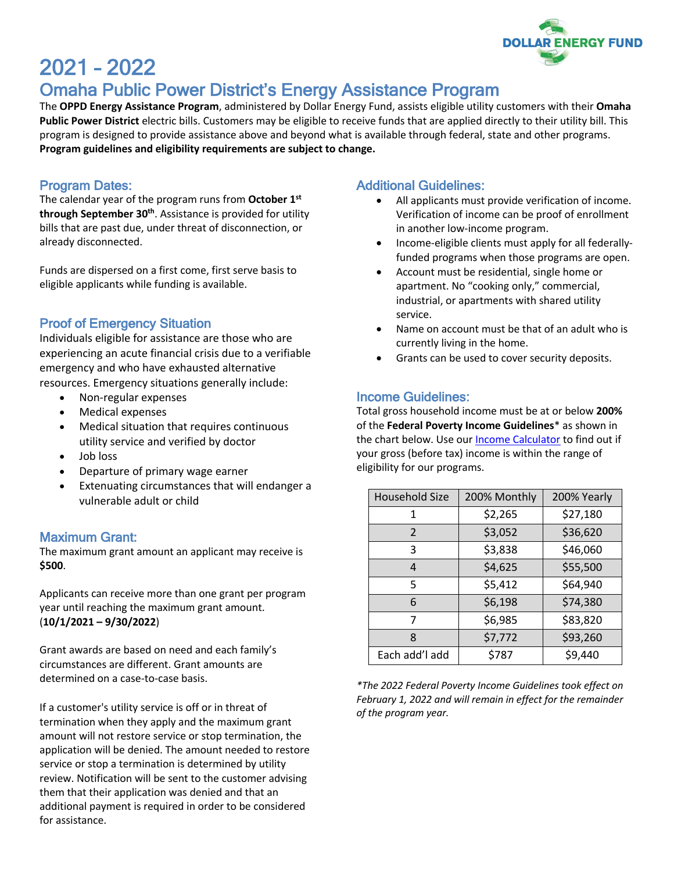

# 2021 – 2022

# Omaha Public Power District's Energy Assistance Program

The **OPPD Energy Assistance Program**, administered by Dollar Energy Fund, assists eligible utility customers with their **Omaha Public Power District** electric bills. Customers may be eligible to receive funds that are applied directly to their utility bill. This program is designed to provide assistance above and beyond what is available through federal, state and other programs. **Program guidelines and eligibility requirements are subject to change.**

#### Program Dates:

The calendar year of the program runs from **October 1st through September 30th**. Assistance is provided for utility bills that are past due, under threat of disconnection, or already disconnected.

Funds are dispersed on a first come, first serve basis to eligible applicants while funding is available.

## Proof of Emergency Situation

Individuals eligible for assistance are those who are experiencing an acute financial crisis due to a verifiable emergency and who have exhausted alternative resources. Emergency situations generally include:

- Non-regular expenses
- Medical expenses
- Medical situation that requires continuous utility service and verified by doctor
- Job loss
- Departure of primary wage earner
- Extenuating circumstances that will endanger a vulnerable adult or child

#### Maximum Grant:

The maximum grant amount an applicant may receive is **\$500**.

Applicants can receive more than one grant per program year until reaching the maximum grant amount. (**10/1/2021 – 9/30/2022**)

Grant awards are based on need and each family's circumstances are different. Grant amounts are determined on a case-to-case basis.

If a customer's utility service is off or in threat of termination when they apply and the maximum grant amount will not restore service or stop termination, the application will be denied. The amount needed to restore service or stop a termination is determined by utility review. Notification will be sent to the customer advising them that their application was denied and that an additional payment is required in order to be considered for assistance.

#### Additional Guidelines:

- All applicants must provide verification of income. Verification of income can be proof of enrollment in another low-income program.
- Income-eligible clients must apply for all federallyfunded programs when those programs are open.
- Account must be residential, single home or apartment. No "cooking only," commercial, industrial, or apartments with shared utility service.
- Name on account must be that of an adult who is currently living in the home.
- Grants can be used to cover security deposits.

#### Income Guidelines:

Total gross household income must be at or below **200%** of the **Federal Poverty Income Guidelines**\* as shown in the chart below. Use our Income Calculator to find out if your gross (before tax) income is within the range of eligibility for our programs.

| <b>Household Size</b> | 200% Monthly | 200% Yearly |
|-----------------------|--------------|-------------|
| 1                     | \$2,265      | \$27,180    |
| $\mathcal{P}$         | \$3,052      | \$36,620    |
| 3                     | \$3,838      | \$46,060    |
| 4                     | \$4,625      | \$55,500    |
| 5                     | \$5,412      | \$64,940    |
| 6                     | \$6,198      | \$74,380    |
| 7                     | \$6,985      | \$83,820    |
| 8                     | \$7,772      | \$93,260    |
| Each add'l add        | \$787        | \$9,440     |

*\*The 2022 Federal Poverty Income Guidelines took effect on February 1, 2022 and will remain in effect for the remainder of the program year.*